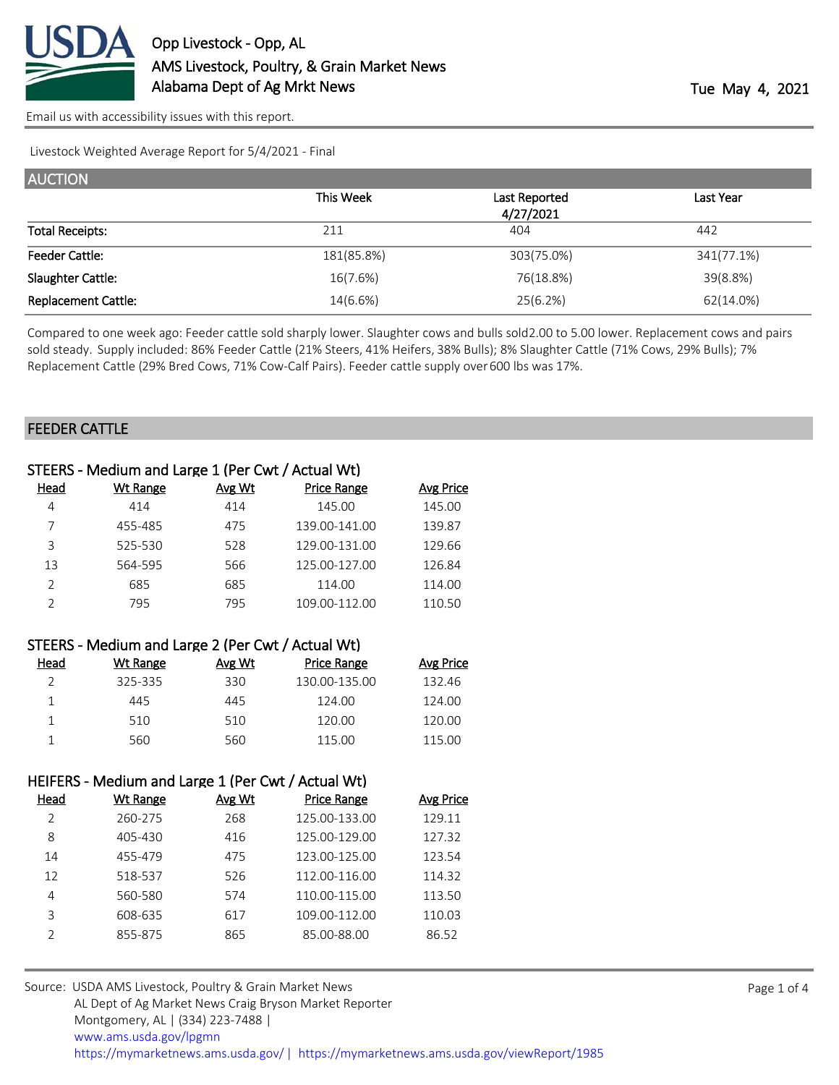

Livestock Weighted Average Report for 5/4/2021 - Final

| <b>AUCTION</b>             |            |               |            |
|----------------------------|------------|---------------|------------|
|                            | This Week  | Last Reported | Last Year  |
|                            |            | 4/27/2021     |            |
| <b>Total Receipts:</b>     | 211        | 404           | 442        |
| <b>Feeder Cattle:</b>      | 181(85.8%) | 303(75.0%)    | 341(77.1%) |
| Slaughter Cattle:          | 16(7.6%)   | 76(18.8%)     | 39(8.8%)   |
| <b>Replacement Cattle:</b> | 14(6.6%)   | 25(6.2%)      | 62(14.0%)  |

Compared to one week ago: Feeder cattle sold sharply lower. Slaughter cows and bulls sold 2.00 to 5.00 lower. Replacement cows and pairs sold steady. Supply included: 86% Feeder Cattle (21% Steers, 41% Heifers, 38% Bulls); 8% Slaughter Cattle (71% Cows, 29% Bulls); 7% Replacement Cattle (29% Bred Cows, 71% Cow-Calf Pairs). Feeder cattle supply over 600 lbs was 17%.

## FEEDER CATTLE

|               | STEERS - Medium and Large 1 (Per Cwt / Actual Wt) |               |                    |                  |
|---------------|---------------------------------------------------|---------------|--------------------|------------------|
| Head          | <b>Wt Range</b>                                   | <b>Avg Wt</b> | <b>Price Range</b> | <b>Avg Price</b> |
| 4             | 414                                               | 414           | 145.00             | 145.00           |
|               | 455-485                                           | 475           | 139.00-141.00      | 139.87           |
| 3             | 525-530                                           | 528           | 129.00-131.00      | 129.66           |
| 13            | 564-595                                           | 566           | 125.00-127.00      | 126.84           |
| $\mathcal{P}$ | 685                                               | 685           | 114.00             | 114.00           |
|               | 795                                               | 795           | 109.00-112.00      | 110.50           |
|               |                                                   |               |                    |                  |

| STEERS - Medium and Large 2 (Per Cwt / Actual Wt) |
|---------------------------------------------------|
|                                                   |

| Head | Wt Range | Avg Wt | <b>Price Range</b> | Avg Price |
|------|----------|--------|--------------------|-----------|
|      | 325-335  | 330    | 130.00-135.00      | 132.46    |
|      | 445      | 445    | 124.00             | 124.00    |
|      | 510      | 510    | 120.00             | 120.00    |
|      | 560      | 560    | 115.00             | 115.00    |

## HEIFERS - Medium and Large 1 (Per Cwt / Actual Wt)

| Head          | Wt Range | Avg Wt | Price Range   | <b>Avg Price</b> |
|---------------|----------|--------|---------------|------------------|
| $\mathcal{L}$ | 260-275  | 268    | 125.00-133.00 | 129.11           |
| 8             | 405-430  | 416    | 125.00-129.00 | 127.32           |
| 14            | 455-479  | 475    | 123.00-125.00 | 123.54           |
| 12            | 518-537  | 526    | 112.00-116.00 | 114.32           |
| 4             | 560-580  | 574    | 110.00-115.00 | 113.50           |
| 3             | 608-635  | 617    | 109.00-112.00 | 110.03           |
|               | 855-875  | 865    | 85.00-88.00   | 86.52            |
|               |          |        |               |                  |

| Source: USDA AMS Livestock, Poultry & Grain Market News                                |
|----------------------------------------------------------------------------------------|
| AL Dept of Ag Market News Craig Bryson Market Reporter                                 |
| Montgomery, AL   (334) 223-7488                                                        |
| www.ams.usda.gov/lpgmn                                                                 |
| https://mymarketnews.ams.usda.gov/   https://mymarketnews.ams.usda.gov/viewReport/1985 |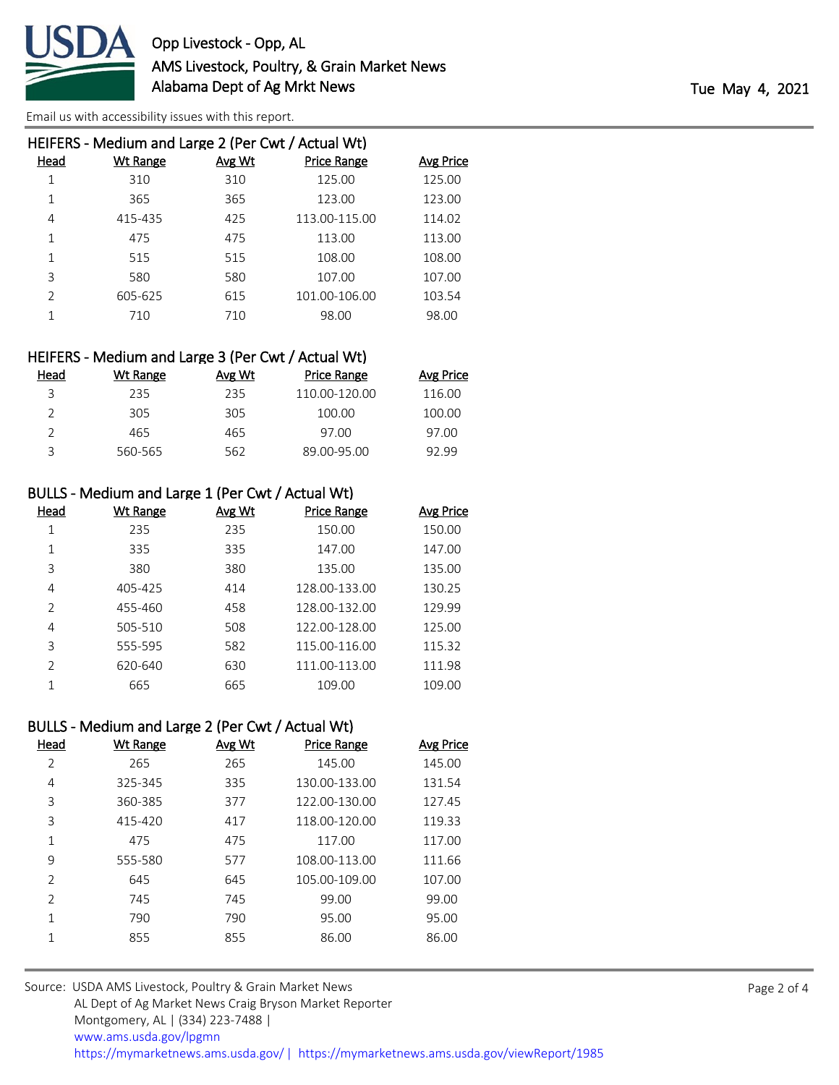

|               | HEIFERS - Medium and Large 2 (Per Cwt / Actual Wt) |               |                    |                  |
|---------------|----------------------------------------------------|---------------|--------------------|------------------|
| Head          | Wt Range                                           | <b>Avg Wt</b> | <b>Price Range</b> | <b>Avg Price</b> |
| 1             | 310                                                | 310           | 125.00             | 125.00           |
|               | 365                                                | 365           | 123.00             | 123.00           |
| 4             | 415-435                                            | 425           | 113.00-115.00      | 114.02           |
| 1             | 475                                                | 475           | 113.00             | 113.00           |
|               | 515                                                | 515           | 108.00             | 108.00           |
| 3             | 580                                                | 580           | 107.00             | 107.00           |
| $\mathcal{P}$ | 605-625                                            | 615           | 101.00-106.00      | 103.54           |
|               | 710                                                | 710           | 98.00              | 98.00            |
|               |                                                    |               |                    |                  |

| HEIFERS - Medium and Large 3 (Per Cwt / Actual Wt) |  |  |  |
|----------------------------------------------------|--|--|--|
|----------------------------------------------------|--|--|--|

| Head | Wt Range | Avg Wt | <b>Price Range</b> | Avg Price |
|------|----------|--------|--------------------|-----------|
| 3    | 235      | 235    | 110.00-120.00      | 116.00    |
|      | 305      | 305    | 100.00             | 100.00    |
|      | 465      | 465    | 97.00              | 97.00     |
| ₹    | 560-565  | 562    | 89.00-95.00        | 92.99     |
|      |          |        |                    |           |

## BULLS - Medium and Large 1 (Per Cwt / Actual Wt)

| Head          | Wt Range | Avg Wt | <b>Price Range</b> | <b>Avg Price</b> |
|---------------|----------|--------|--------------------|------------------|
|               | 235      | 235    | 150.00             | 150.00           |
| 1             | 335      | 335    | 147.00             | 147.00           |
| 3             | 380      | 380    | 135.00             | 135.00           |
| 4             | 405-425  | 414    | 128.00-133.00      | 130.25           |
| $\mathcal{P}$ | 455-460  | 458    | 128.00-132.00      | 129.99           |
| 4             | 505-510  | 508    | 122.00-128.00      | 125.00           |
| 3             | 555-595  | 582    | 115.00-116.00      | 115.32           |
| $\mathcal{P}$ | 620-640  | 630    | 111.00-113.00      | 111.98           |
|               | 665      | 665    | 109.00             | 109.00           |

## BULLS - Medium and Large 2 (Per Cwt / Actual Wt)

| Head           | <b>Wt Range</b> | Avg Wt | <b>Price Range</b> | Avg Price |
|----------------|-----------------|--------|--------------------|-----------|
| 2              | 265             | 265    | 145.00             | 145.00    |
| 4              | 325-345         | 335    | 130.00-133.00      | 131.54    |
| 3              | 360-385         | 377    | 122.00-130.00      | 127.45    |
| 3              | 415-420         | 417    | 118.00-120.00      | 119.33    |
| 1              | 475             | 475    | 117.00             | 117.00    |
| 9              | 555-580         | 577    | 108.00-113.00      | 111.66    |
| $\overline{2}$ | 645             | 645    | 105.00-109.00      | 107.00    |
| $\mathcal{P}$  | 745             | 745    | 99.00              | 99.00     |
| 1              | 790             | 790    | 95.00              | 95.00     |
| 1              | 855             | 855    | 86.00              | 86.00     |
|                |                 |        |                    |           |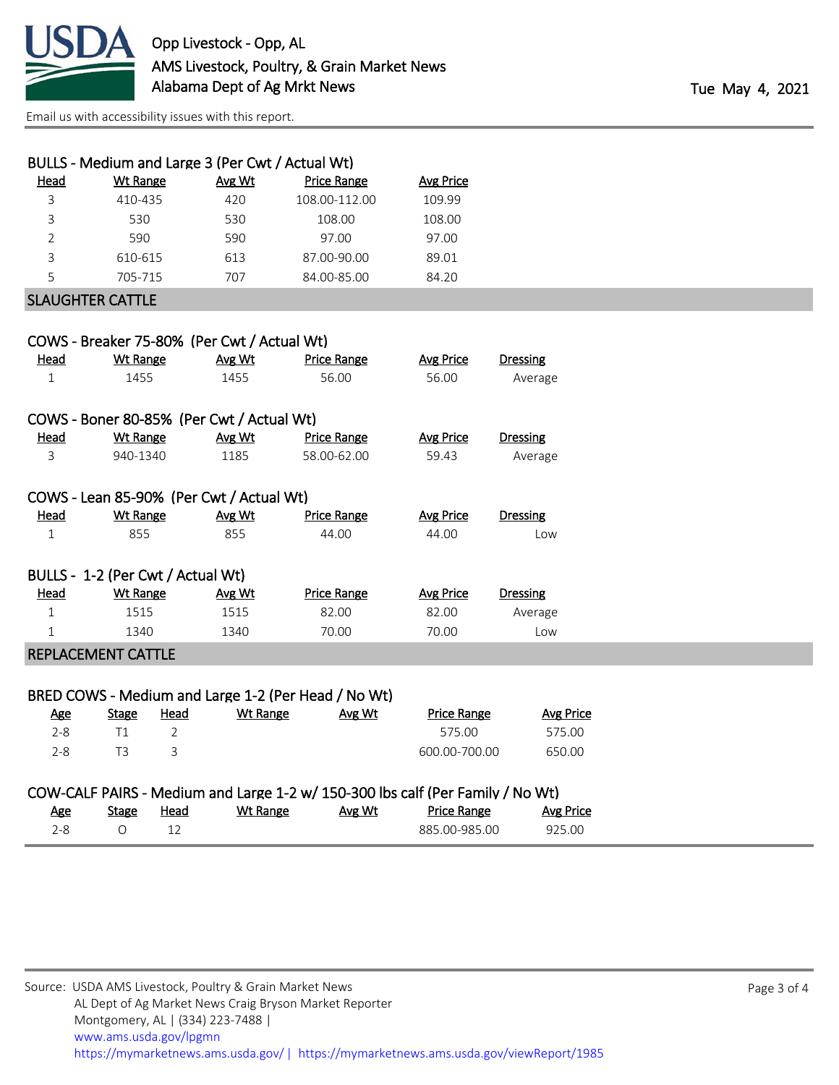

|                |                                   |             | BULLS - Medium and Large 3 (Per Cwt / Actual Wt) |                                                                                |                    |                  |
|----------------|-----------------------------------|-------------|--------------------------------------------------|--------------------------------------------------------------------------------|--------------------|------------------|
| Head           | <b>Wt Range</b>                   |             | Avg Wt                                           | <b>Price Range</b>                                                             | <b>Avg Price</b>   |                  |
| 3              | 410-435                           |             | 420                                              | 108.00-112.00                                                                  | 109.99             |                  |
| 3              | 530                               |             | 530                                              | 108.00                                                                         | 108.00             |                  |
| $\overline{2}$ | 590                               |             | 590                                              | 97.00                                                                          | 97.00              |                  |
| 3              | 610-615                           |             | 613                                              | 87.00-90.00                                                                    | 89.01              |                  |
| 5              | 705-715                           |             | 707                                              | 84.00-85.00                                                                    | 84.20              |                  |
|                | <b>SLAUGHTER CATTLE</b>           |             |                                                  |                                                                                |                    |                  |
|                |                                   |             | COWS - Breaker 75-80% (Per Cwt / Actual Wt)      |                                                                                |                    |                  |
| <b>Head</b>    | <b>Wt Range</b>                   |             | Avg Wt                                           | <b>Price Range</b>                                                             | <b>Avg Price</b>   | Dressing         |
| $\mathbf{1}$   | 1455                              |             | 1455                                             | 56.00                                                                          | 56.00              | Average          |
|                |                                   |             | COWS - Boner 80-85% (Per Cwt / Actual Wt)        |                                                                                |                    |                  |
| <b>Head</b>    | <b>Wt Range</b>                   |             | Avg Wt                                           | <b>Price Range</b>                                                             | <b>Avg Price</b>   | <b>Dressing</b>  |
| 3              | 940-1340                          |             | 1185                                             | 58.00-62.00                                                                    | 59.43              | Average          |
|                |                                   |             | COWS - Lean 85-90% (Per Cwt / Actual Wt)         |                                                                                |                    |                  |
| <b>Head</b>    | <b>Wt Range</b>                   |             | Avg Wt                                           | <b>Price Range</b>                                                             | <b>Avg Price</b>   | <b>Dressing</b>  |
| $\mathbf{1}$   | 855                               |             | 855                                              | 44.00                                                                          | 44.00              | Low              |
|                | BULLS - 1-2 (Per Cwt / Actual Wt) |             |                                                  |                                                                                |                    |                  |
| Head           | <b>Wt Range</b>                   |             | Avg Wt                                           | <b>Price Range</b>                                                             | <b>Avg Price</b>   | <b>Dressing</b>  |
| $\mathbf{1}$   | 1515                              |             | 1515                                             | 82.00                                                                          | 82.00              | Average          |
| $\mathbf{1}$   | 1340                              |             | 1340                                             | 70.00                                                                          | 70.00              | Low              |
|                | REPLACEMENT CATTLE                |             |                                                  |                                                                                |                    |                  |
|                |                                   |             |                                                  | BRED COWS - Medium and Large 1-2 (Per Head / No Wt)                            |                    |                  |
| <b>Age</b>     | <b>Stage</b>                      | <b>Head</b> | <b>Wt Range</b>                                  | Avg Wt                                                                         | <b>Price Range</b> | <b>Avg Price</b> |
| $2 - 8$        | T1                                | 2           |                                                  |                                                                                | 575.00             | 575.00           |
| $2 - 8$        | T <sub>3</sub>                    | 3           |                                                  |                                                                                | 600.00-700.00      | 650.00           |
|                |                                   |             |                                                  | COW-CALF PAIRS - Medium and Large 1-2 w/ 150-300 lbs calf (Per Family / No Wt) |                    |                  |
| Age            | <b>Stage</b>                      | <b>Head</b> | <b>Wt Range</b>                                  | Avg Wt                                                                         | <b>Price Range</b> | <b>Avg Price</b> |

2-8 O 12 885.00-985.00 925.00